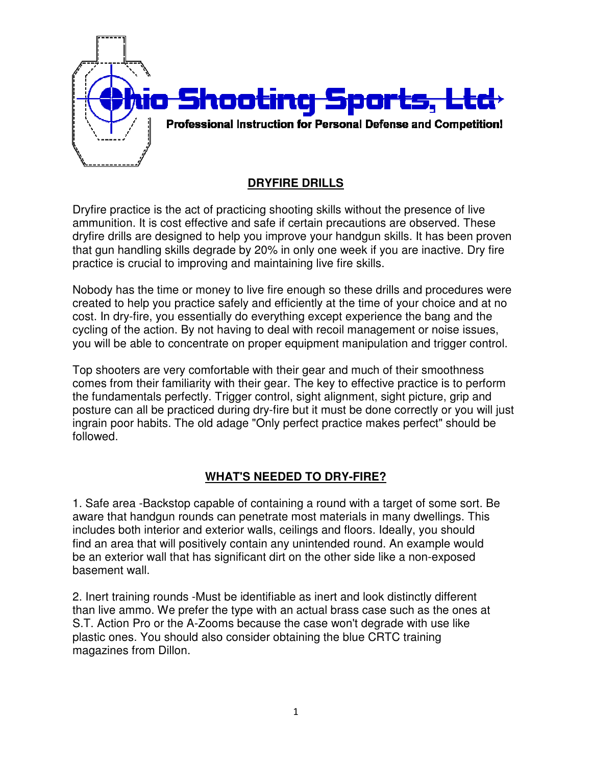

## **DRYFIRE DRILLS**

Dryfire practice is the act of practicing shooting skills without the presence of live ammunition. It is cost effective and safe if certain precautions are observed. These dryfire drills are designed to help you improve your handgun skills. It has been proven that gun handling skills degrade by 20% in only one week if you are inactive. Dry fire practice is crucial to improving and maintaining live fire skills. that gun handling skills degrade by 20% in only one week if you are inactive. Dry fire<br>practice is crucial to improving and maintaining live fire skills.<br>Nobody has the time or money to live fire enough so these drills and is the act of practicing shooting skills without the presence of live<br>; cost effective and safe if certain precautions are observed. These<br>designed to help you improve your handgun skills. It has been proven

created to help you practice safely and efficiently at the time of your choice and at no cost. In dry-fire, you essentially do everything except experience the bang and the created to help you practice safely and efficiently at the time of your choice and at n<br>cost. In dry-fire, you essentially do everything except experience the bang and the<br>cycling of the action. By not having to deal with you will be able to concentrate on proper equipment manipulation and trigger control.

Top shooters are very comfortable with their gear and much of their smoothness you will be able to concentrate on proper equipment manipulation and trigger control.<br>Top shooters are very comfortable with their gear and much of their smoothness<br>comes from their familiarity with their gear. The key to the fundamentals perfectly. Trigger control, sight alignment, sight picture, grip and the fundamentals perfectly. Trigger control, sight alignment, sight picture, grip and<br>posture can all be practiced during dry-fire but it must be done correctly or you will just ingrain poor habits. The old adage "Only perfect practice makes perfect" should be followed. as the time or money to live fire enough so these drills and procedures<br>
help you practice safely and efficiently at the time of your choice and a<br>
y-fire, you essentially do everything except experience the bang and th<br>
t

#### **WHAT'S NEEDED TO DRY DRY-FIRE?**

1. Safe area -Backstop capable of containing a round with a target of some sort. Be aware that handgun rounds can penetrate most materials in many dwellings. This includes both interior and exterior walls, ceilings and floors. Ideally, you should find an area that will positively contain any unintended round. An example would 1. Safe area -Backstop capable of containing a round with a target of some sort aware that handgun rounds can penetrate most materials in many dwellings. The includes both interior and exterior walls, ceilings and floors. basement wall.

2. Inert training rounds -Must be identifiable as inert and look distinctly different than live ammo. We prefer the type with an actual brass case such as the ones at S.T. Action Pro or the A-Zooms because the case won't degrade with use like plastic ones. You should also consider obtaining the blue CRTC training magazines from Dillon.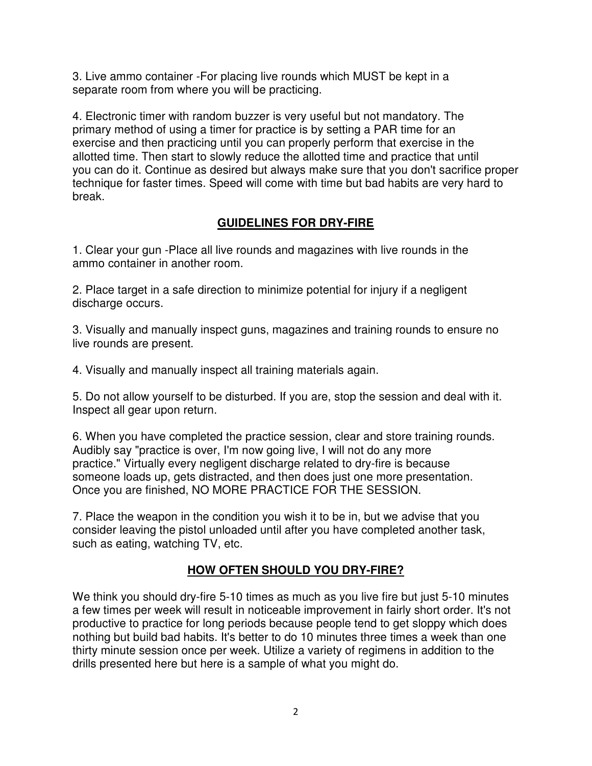3. Live ammo container -For placing live rounds which MUST be kept in a separate room from where you will be practicing.

4. Electronic timer with random buzzer is very useful but not mandatory. The primary method of using a timer for practice is by setting a PAR time for an exercise and then practicing until you can properly perform that exercise in the allotted time. Then start to slowly reduce the allotted time and practice that until you can do it. Continue as desired but always make sure that you don't sacrifice proper technique for faster times. Speed will come with time but bad habits are very hard to break.

### **GUIDELINES FOR DRY-FIRE**

1. Clear your gun -Place all live rounds and magazines with live rounds in the ammo container in another room.

2. Place target in a safe direction to minimize potential for injury if a negligent discharge occurs.

3. Visually and manually inspect guns, magazines and training rounds to ensure no live rounds are present.

4. Visually and manually inspect all training materials again.

5. Do not allow yourself to be disturbed. If you are, stop the session and deal with it. Inspect all gear upon return.

6. When you have completed the practice session, clear and store training rounds. Audibly say "practice is over, I'm now going live, I will not do any more practice." Virtually every negligent discharge related to dry-fire is because someone loads up, gets distracted, and then does just one more presentation. Once you are finished, NO MORE PRACTICE FOR THE SESSION.

7. Place the weapon in the condition you wish it to be in, but we advise that you consider leaving the pistol unloaded until after you have completed another task, such as eating, watching TV, etc.

# **HOW OFTEN SHOULD YOU DRY-FIRE?**

We think you should dry-fire 5-10 times as much as you live fire but just 5-10 minutes a few times per week will result in noticeable improvement in fairly short order. It's not productive to practice for long periods because people tend to get sloppy which does nothing but build bad habits. It's better to do 10 minutes three times a week than one thirty minute session once per week. Utilize a variety of regimens in addition to the drills presented here but here is a sample of what you might do.